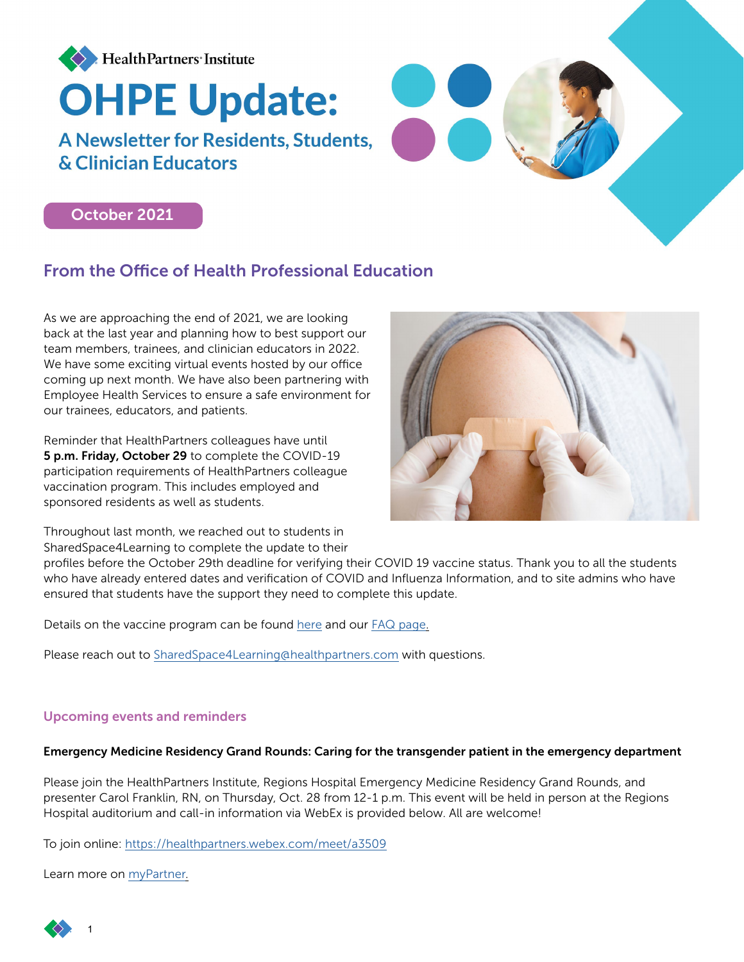

# October 2021

# From the Office of Health Professional Education

As we are approaching the end of 2021, we are looking back at the last year and planning how to best support our team members, trainees, and clinician educators in 2022. We have some exciting virtual events hosted by our office coming up next month. We have also been partnering with Employee Health Services to ensure a safe environment for our trainees, educators, and patients.

Reminder that HealthPartners colleagues have until 5 p.m. Friday, October 29 to complete the COVID-19 participation requirements of HealthPartners colleague vaccination program. This includes employed and sponsored residents as well as students.

Throughout last month, we reached out to students in SharedSpace4Learning to complete the update to their



profiles before the October 29th deadline for verifying their COVID 19 vaccine status. Thank you to all the students who have already entered dates and verification of COVID and Influenza Information, and to site admins who have ensured that students have the support they need to complete this update.

Details on the vaccine program can be found [here](https://nam02.safelinks.protection.outlook.com/?url=https%3A%2F%2Fwww.sharedspace4learning.com%2Fctt%2Fpublic-files%2F27&data=04%7C01%7CPratakshya.X.Bhandari%40healthpartners.com%7C3e114b903e52415ccfe508d98dcc6ea8%7C9539230a521345429ca6b0ec58c41a4d%7C0%7C0%7C637696731453180979%7CUnknown%7CTWFpbGZsb3d8eyJWIjoiMC4wLjAwMDAiLCJQIjoiV2luMzIiLCJBTiI6Ik1haWwiLCJXVCI6Mn0%3D%7C1000&sdata=Mpo9PjeLfAmSFcNdVGfTvnYdZrVD6WsbBomKGEUAS7U%3D&reserved=0) and our [FAQ page.](https://www.healthpartners.com/institute/wp-content/uploads/2021/10/Vaccination-FAQ.pdf)

Please reach out to [SharedSpace4Learning@healthpartners.com](mailto:SharedSpace4Learning%40healthpartners.com?subject=) with questions.

### Upcoming events and reminders

#### Emergency Medicine Residency Grand Rounds: Caring for the transgender patient in the emergency department

Please join the HealthPartners Institute, Regions Hospital Emergency Medicine Residency Grand Rounds, and presenter Carol Franklin, RN, on Thursday, Oct. 28 from 12-1 p.m. This event will be held in person at the Regions Hospital auditorium and call-in information via WebEx is provided below. All are welcome!

To join online:<https://healthpartners.webex.com/meet/a3509>

Learn more on [myPartner.](https://mynews.healthpartners.com/events/emergency-medicine-residency-grand-rounds-caring-for-the-transgender-patient-in-the-emergency-department/)

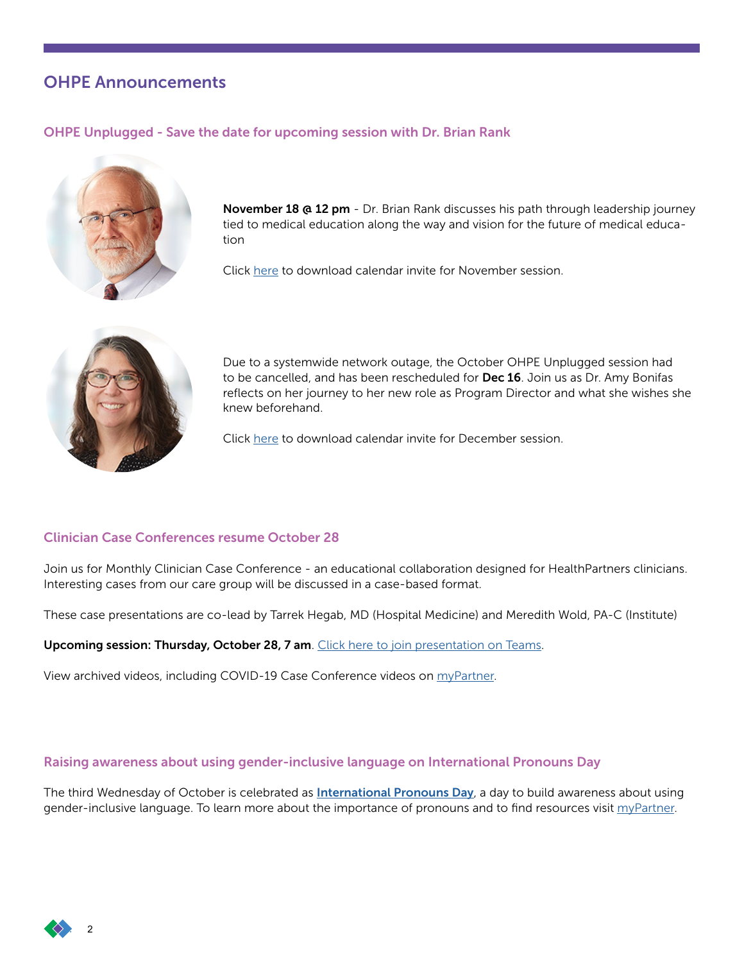# OHPE Announcements

## OHPE Unplugged - Save the date for upcoming session with Dr. Brian Rank



November 18 @ 12 pm - Dr. Brian Rank discusses his path through leadership journey tied to medical education along the way and vision for the future of medical education

Click [here](https://intranet.healthpartners.com/Clinical-Educator-Trainee-Resources/Documents/OHPE%20unplugged-november.ics?csf=1&e=nCgc7D) to download calendar invite for November session.



Due to a systemwide network outage, the October OHPE Unplugged session had to be cancelled, and has been rescheduled for Dec 16. Join us as Dr. Amy Bonifas reflects on her journey to her new role as Program Director and what she wishes she knew beforehand.

Click [here](https://intranet.healthpartners.com/Clinical-Educator-Trainee-Resources/Documents/OHPE%20unplugged%20december.ics?csf=1&e=dt3hOi) to download calendar invite for December session.

## Clinician Case Conferences resume October 28

Join us for Monthly Clinician Case Conference - an educational collaboration designed for HealthPartners clinicians. Interesting cases from our care group will be discussed in a case-based format.

These case presentations are co-lead by Tarrek Hegab, MD (Hospital Medicine) and Meredith Wold, PA-C (Institute)

Upcoming session: Thursday, October 28, 7 am. [Click here to join presentation on Teams.](https://nam02.safelinks.protection.outlook.com/ap/t-59584e83/?url=https://teams.microsoft.com/l/meetup-join/19%253ameeting_ZGM0MDhiZTAtZjU1MS00NjAzLTlhZDEtYWQ1NDg4ODcwMjA2%2540thread.v2/0?context%3D%257b%2522Tid%2522%253a%25229539230a-5213-4542-9ca6-b0ec58c41a4d%2522%252c%2522Oid%2522%253a%2522c19af64d-c7f4-4316-bc47-b78a7942597b%2522%257d&data=04%7c01%7cPratakshya.X.Bhandari%40HealthPartners.Com%7c4879510370824f47e51608d98d8f646b%7c9539230a521345429ca6b0ec58c41a4d%7c0%7c0%7c637696469438571239%7cUnknown%7cTWFpbGZsb3d8eyJWIjoiMC4wLjAwMDAiLCJQIjoiV2luMzIiLCJBTiI6Ik1haWwiLCJXVCI6Mn0%3D%7c1000&sdata=qKyS9I1GGm%2BBCj0H1NFd4Csm%2BAjLVeqedEkhu8z/dbk%3D&reserved=0)

View archived videos, including COVID-19 Case Conference videos on [myPartner.](https://intranet.healthpartners.com/Clinical-Educator-Trainee-Resources/Pages/COVID-19-Case-Conferences.aspx)

### Raising awareness about using gender-inclusive language on International Pronouns Day

The third Wednesday of October is celebrated as **[International Pronouns Day](https://pronounsday.org/)**, a day to build awareness about using gender-inclusive language. To learn more about the importance of pronouns and to find resources visit [myPartner](https://mynews.healthpartners.com/diversity-equity-inclusion/recognizing-international-pronouns-day/).